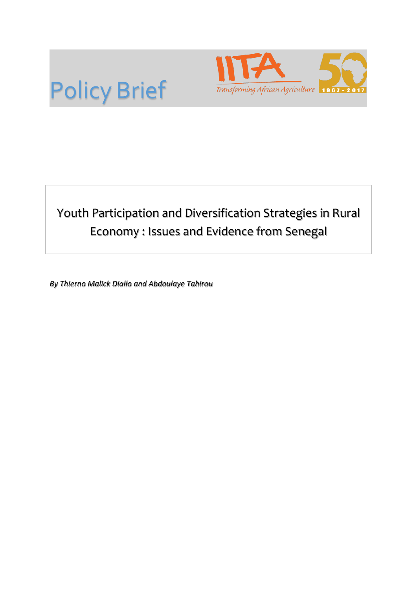



# Youth Participation and Diversification Strategies in Rural Economy : Issues and Evidence from Senegal

*By Thierno Malick Diallo and Abdoulaye Tahirou*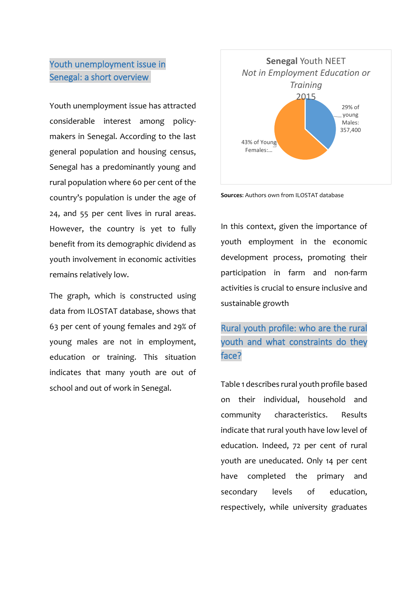## Youth unemployment issue in Senegal: a short overview

Youth unemployment issue has attracted considerable interest among policymakers in Senegal. According to the last general population and housing census, Senegal has a predominantly young and rural population where 60 per cent of the country's population is under the age of 24, and 55 per cent lives in rural areas. However, the country is yet to fully benefit from its demographic dividend as youth involvement in economic activities remains relatively low.

The graph, which is constructed using data from ILOSTAT database, shows that 63 per cent of young females and 29% of young males are not in employment, education or training. This situation indicates that many youth are out of school and out of work in Senegal.



**Sources**: Authors own from ILOSTAT database

In this context, given the importance of youth employment in the economic development process, promoting their participation in farm and non-farm activities is crucial to ensure inclusive and sustainable growth

Rural youth profile: who are the rural youth and what constraints do they face?

Table 1 describes rural youth profile based on their individual, household and community characteristics. Results indicate that rural youth have low level of education. Indeed, 72 per cent of rural youth are uneducated. Only 14 per cent have completed the primary and secondary levels of education, respectively, while university graduates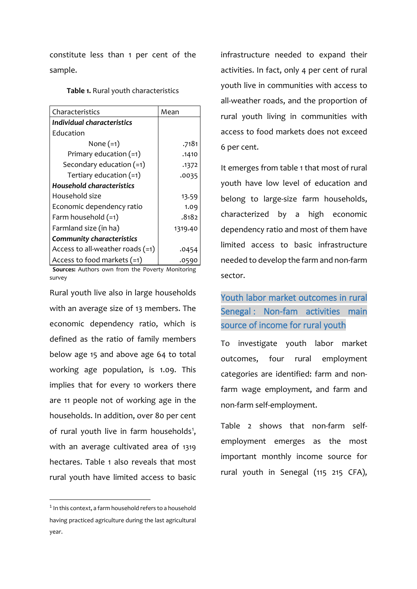constitute less than 1 per cent of the sample.

**Table 1.** Rural youth characteristics

| Characteristics                    | Mean    |  |
|------------------------------------|---------|--|
| Individual characteristics         |         |  |
| Education                          |         |  |
| None $(=1)$                        | .7181   |  |
| Primary education $(=1)$           | .1410   |  |
| Secondary education (=1)           | .1372   |  |
| Tertiary education $(=1)$          | .0035   |  |
| Household characteristics          |         |  |
| Household size                     | 13.59   |  |
| Economic dependency ratio          | 1.09    |  |
| Farm household (=1)                | .8182   |  |
| Farmland size (in ha)              | 1319.40 |  |
| <b>Community characteristics</b>   |         |  |
| Access to all-weather roads $(=1)$ | .0454   |  |
| Access to food markets $(=1)$      | .0590   |  |

 **Sources:** Authors own from the Poverty Monitoring survey

Rural youth live also in large households with an average size of 13 members. The economic dependency ratio, which is defined as the ratio of family members below age 15 and above age 64 to total working age population, is 1.09. This implies that for every 10 workers there are 11 people not of working age in the households. In addition, over 80 per cent of rural youth live in farm households<sup>[1](#page-2-0)</sup>, with an average cultivated area of 1319 hectares. Table 1 also reveals that most rural youth have limited access to basic

infrastructure needed to expand their activities. In fact, only 4 per cent of rural youth live in communities with access to all-weather roads, and the proportion of rural youth living in communities with access to food markets does not exceed 6 per cent.

It emerges from table 1 that most of rural youth have low level of education and belong to large-size farm households, characterized by a high economic dependency ratio and most of them have limited access to basic infrastructure needed to develop the farm and non-farm sector.

#### Youth labor market outcomes in rural Senegal : Non-fam activities main source of income for rural youth

To investigate youth labor market outcomes, four rural employment categories are identified: farm and nonfarm wage employment, and farm and non-farm self-employment.

Table 2 shows that non-farm selfemployment emerges as the most important monthly income source for rural youth in Senegal (115 215 CFA),

<span id="page-2-0"></span> $1$  In this context, a farm household refers to a household having practiced agriculture during the last agricultural year.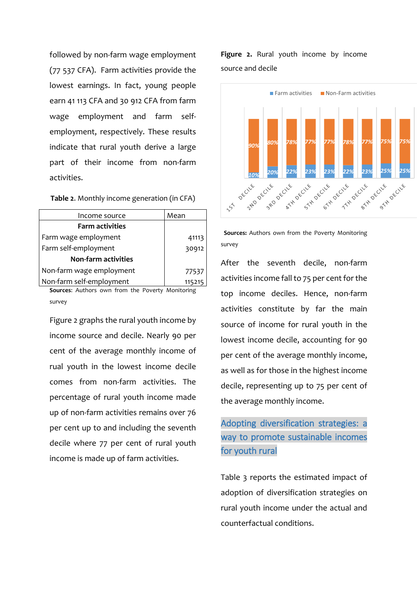followed by non-farm wage employment (77 537 CFA). Farm activities provide the lowest earnings. In fact, young people earn 41 113 CFA and 30 912 CFA from farm wage employment and farm selfemployment, respectively. These results indicate that rural youth derive a large part of their income from non-farm activities.

**Table 2**. Monthly income generation (in CFA)

| Income source              | Mean   |
|----------------------------|--------|
| <b>Farm activities</b>     |        |
| Farm wage employment       | 41113  |
| Farm self-employment       | 30912  |
| <b>Non-farm activities</b> |        |
| Non-farm wage employment   | 77537  |
| Non-farm self-employment   | 115215 |

**Sources**: Authors own from the Poverty Monitoring survey

Figure 2 graphs the rural youth income by income source and decile. Nearly 90 per cent of the average monthly income of rual youth in the lowest income decile comes from non-farm activities. The percentage of rural youth income made up of non-farm activities remains over 76 per cent up to and including the seventh decile where 77 per cent of rural youth income is made up of farm activities.

**Figure 2.** Rural youth income by income source and decile



 **Sources:** Authors own from the Poverty Monitoring survey

After the seventh decile, non-farm activities income fall to 75 per cent for the top income deciles. Hence, non-farm activities constitute by far the main source of income for rural youth in the lowest income decile, accounting for 90 per cent of the average monthly income, as well as for those in the highest income decile, representing up to 75 per cent of the average monthly income.

## Adopting diversification strategies: a way to promote sustainable incomes for youth rural

Table 3 reports the estimated impact of adoption of diversification strategies on rural youth income under the actual and counterfactual conditions.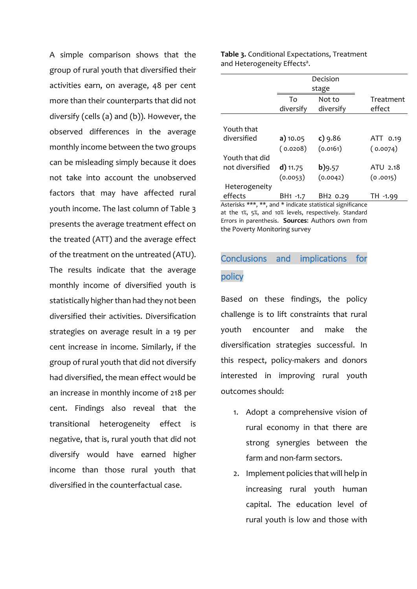A simple comparison shows that the group of rural youth that diversified their activities earn, on average, 48 per cent more than their counterparts that did not diversify (cells (a) and (b)). However, the observed differences in the average monthly income between the two groups can be misleading simply because it does not take into account the unobserved factors that may have affected rural youth income. The last column of Table 3 presents the average treatment effect on the treated (ATT) and the average effect of the treatment on the untreated (ATU). The results indicate that the average monthly income of diversified youth is statistically higher than had they not been diversified their activities. Diversification strategies on average result in a 19 per cent increase in income. Similarly, if the group of rural youth that did not diversify had diversified, the mean effect would be an increase in monthly income of 218 per cent. Findings also reveal that the transitional heterogeneity effect is negative, that is, rural youth that did not diversify would have earned higher income than those rural youth that diversified in the counterfactual case.

**Table 3.** Conditional Expectations, Treatment and Heterogeneity Effects<sup>a</sup>.

|                                                            | Decision             |                      |           |  |
|------------------------------------------------------------|----------------------|----------------------|-----------|--|
|                                                            | stage                |                      |           |  |
|                                                            | Tο                   | Not to               | Treatment |  |
|                                                            | diversify            | diversify            | effect    |  |
|                                                            |                      |                      |           |  |
| Youth that                                                 |                      |                      |           |  |
| diversified                                                | a) 10.05             | $c)$ 9.86            | ATT 0.19  |  |
|                                                            | (0.0208)             | (0.0161)             | (0.0074)  |  |
| Youth that did                                             |                      |                      |           |  |
| not diversified                                            | $d)$ 11.75           | b)9.57               | ATU 2.18  |  |
|                                                            | (0.0053)             | (0.0042)             | (0.0015)  |  |
| Heterogeneity                                              |                      |                      |           |  |
| effects                                                    | BH <sub>1</sub> -1.7 | BH <sub>2</sub> 0.29 | TH -1.99  |  |
| Asterisks ***, **, and * indicate statistical significance |                      |                      |           |  |

at the 1%, 5%, and 10% levels, respectively. Standard Errors in parenthesis. **Sources**: Authors own from the Poverty Monitoring survey

# Conclusions and implications for policy

Based on these findings, the policy challenge is to lift constraints that rural youth encounter and make the diversification strategies successful. In this respect, policy-makers and donors interested in improving rural youth outcomes should:

- 1. Adopt a comprehensive vision of rural economy in that there are strong synergies between the farm and non-farm sectors.
- 2. Implement policies that will help in increasing rural youth human capital. The education level of rural youth is low and those with